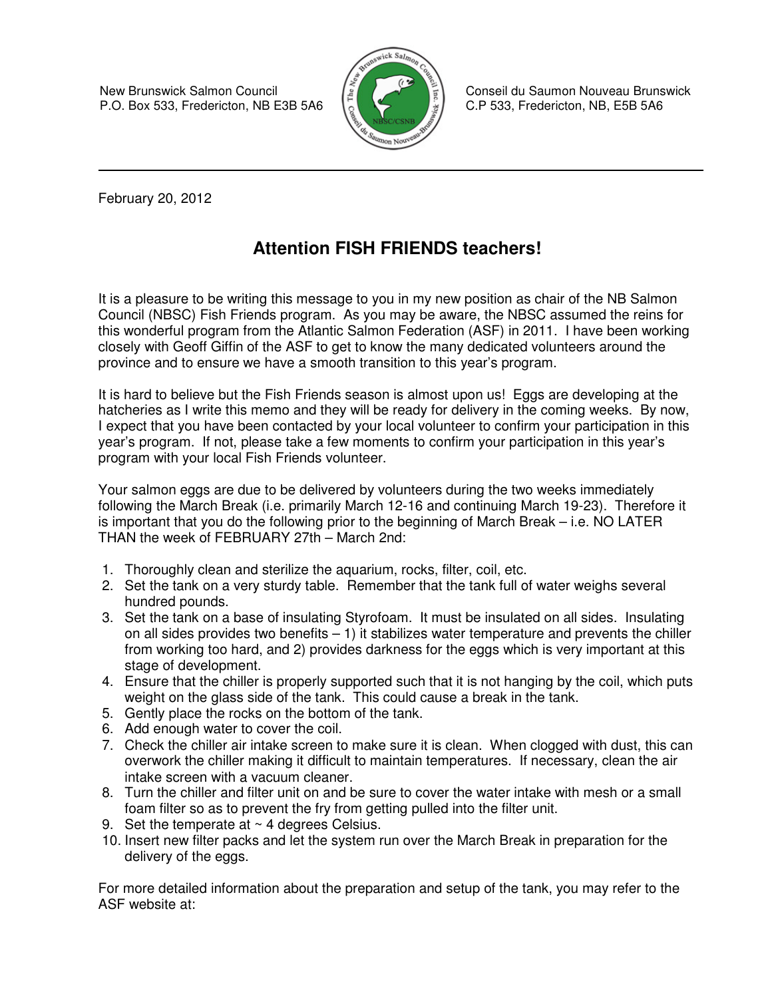New Brunswick Salmon Council P.O. Box 533, Fredericton, NB E3B 5A6



 Conseil du Saumon Nouveau Brunswick C.P 533, Fredericton, NB, E5B 5A6

February 20, 2012

## **Attention FISH FRIENDS teachers!**

It is a pleasure to be writing this message to you in my new position as chair of the NB Salmon Council (NBSC) Fish Friends program. As you may be aware, the NBSC assumed the reins for this wonderful program from the Atlantic Salmon Federation (ASF) in 2011. I have been working closely with Geoff Giffin of the ASF to get to know the many dedicated volunteers around the province and to ensure we have a smooth transition to this year's program.

It is hard to believe but the Fish Friends season is almost upon us! Eggs are developing at the hatcheries as I write this memo and they will be ready for delivery in the coming weeks. By now, I expect that you have been contacted by your local volunteer to confirm your participation in this year's program. If not, please take a few moments to confirm your participation in this year's program with your local Fish Friends volunteer.

Your salmon eggs are due to be delivered by volunteers during the two weeks immediately following the March Break (i.e. primarily March 12-16 and continuing March 19-23). Therefore it is important that you do the following prior to the beginning of March Break – i.e. NO LATER THAN the week of FEBRUARY 27th – March 2nd:

- 1. Thoroughly clean and sterilize the aquarium, rocks, filter, coil, etc.
- 2. Set the tank on a very sturdy table. Remember that the tank full of water weighs several hundred pounds.
- 3. Set the tank on a base of insulating Styrofoam. It must be insulated on all sides. Insulating on all sides provides two benefits  $-1$ ) it stabilizes water temperature and prevents the chiller from working too hard, and 2) provides darkness for the eggs which is very important at this stage of development.
- 4. Ensure that the chiller is properly supported such that it is not hanging by the coil, which puts weight on the glass side of the tank. This could cause a break in the tank.
- 5. Gently place the rocks on the bottom of the tank.
- 6. Add enough water to cover the coil.
- 7. Check the chiller air intake screen to make sure it is clean. When clogged with dust, this can overwork the chiller making it difficult to maintain temperatures. If necessary, clean the air intake screen with a vacuum cleaner.
- 8. Turn the chiller and filter unit on and be sure to cover the water intake with mesh or a small foam filter so as to prevent the fry from getting pulled into the filter unit.
- 9. Set the temperate at  $\sim$  4 degrees Celsius.
- 10. Insert new filter packs and let the system run over the March Break in preparation for the delivery of the eggs.

For more detailed information about the preparation and setup of the tank, you may refer to the ASF website at: